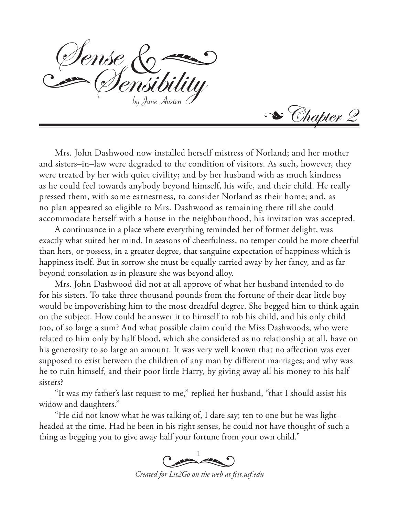by Jane Austen Iense

Se Chapter 2

Mrs. John Dashwood now installed herself mistress of Norland; and her mother and sisters–in–law were degraded to the condition of visitors. As such, however, they were treated by her with quiet civility; and by her husband with as much kindness as he could feel towards anybody beyond himself, his wife, and their child. He really pressed them, with some earnestness, to consider Norland as their home; and, as no plan appeared so eligible to Mrs. Dashwood as remaining there till she could accommodate herself with a house in the neighbourhood, his invitation was accepted.

A continuance in a place where everything reminded her of former delight, was exactly what suited her mind. In seasons of cheerfulness, no temper could be more cheerful than hers, or possess, in a greater degree, that sanguine expectation of happiness which is happiness itself. But in sorrow she must be equally carried away by her fancy, and as far beyond consolation as in pleasure she was beyond alloy.

Mrs. John Dashwood did not at all approve of what her husband intended to do for his sisters. To take three thousand pounds from the fortune of their dear little boy would be impoverishing him to the most dreadful degree. She begged him to think again on the subject. How could he answer it to himself to rob his child, and his only child too, of so large a sum? And what possible claim could the Miss Dashwoods, who were related to him only by half blood, which she considered as no relationship at all, have on his generosity to so large an amount. It was very well known that no affection was ever supposed to exist between the children of any man by different marriages; and why was he to ruin himself, and their poor little Harry, by giving away all his money to his half sisters?

"It was my father's last request to me," replied her husband, "that I should assist his widow and daughters."

"He did not know what he was talking of, I dare say; ten to one but he was light– headed at the time. Had he been in his right senses, he could not have thought of such a thing as begging you to give away half your fortune from your own child."

Contractor

*Created for Lit2Go on the web at fcit.usf.edu*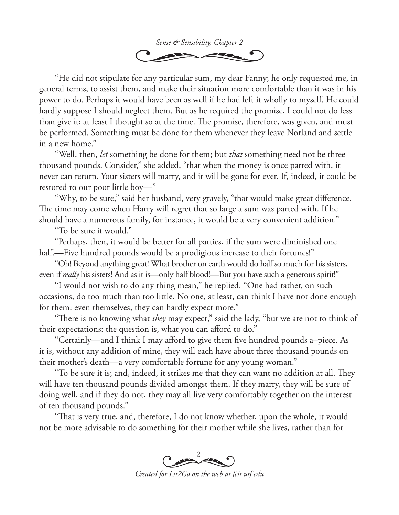

"He did not stipulate for any particular sum, my dear Fanny; he only requested me, in general terms, to assist them, and make their situation more comfortable than it was in his power to do. Perhaps it would have been as well if he had left it wholly to myself. He could hardly suppose I should neglect them. But as he required the promise, I could not do less than give it; at least I thought so at the time. The promise, therefore, was given, and must be performed. Something must be done for them whenever they leave Norland and settle in a new home."

"Well, then, *let* something be done for them; but *that* something need not be three thousand pounds. Consider," she added, "that when the money is once parted with, it never can return. Your sisters will marry, and it will be gone for ever. If, indeed, it could be restored to our poor little boy—"

"Why, to be sure," said her husband, very gravely, "that would make great difference. The time may come when Harry will regret that so large a sum was parted with. If he should have a numerous family, for instance, it would be a very convenient addition."

"To be sure it would."

"Perhaps, then, it would be better for all parties, if the sum were diminished one half.—Five hundred pounds would be a prodigious increase to their fortunes!"

"Oh! Beyond anything great! What brother on earth would do half so much for his sisters, even if *really* his sisters! And as it is—only half blood!—But you have such a generous spirit!"

"I would not wish to do any thing mean," he replied. "One had rather, on such occasions, do too much than too little. No one, at least, can think I have not done enough for them: even themselves, they can hardly expect more."

"There is no knowing what *they* may expect," said the lady, "but we are not to think of their expectations: the question is, what you can afford to do."

"Certainly—and I think I may afford to give them five hundred pounds a–piece. As it is, without any addition of mine, they will each have about three thousand pounds on their mother's death—a very comfortable fortune for any young woman."

"To be sure it is; and, indeed, it strikes me that they can want no addition at all. They will have ten thousand pounds divided amongst them. If they marry, they will be sure of doing well, and if they do not, they may all live very comfortably together on the interest of ten thousand pounds."

"That is very true, and, therefore, I do not know whether, upon the whole, it would not be more advisable to do something for their mother while she lives, rather than for



*Created for Lit2Go on the web at fcit.usf.edu*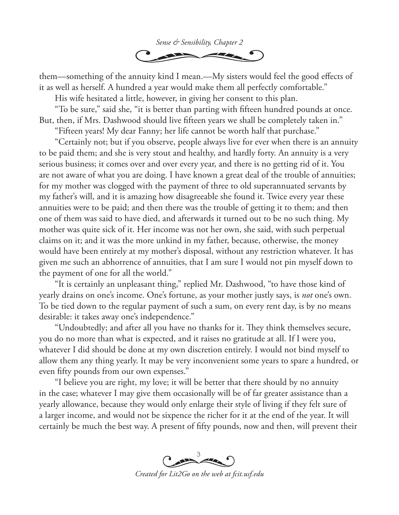

them—something of the annuity kind I mean.—My sisters would feel the good effects of it as well as herself. A hundred a year would make them all perfectly comfortable."

His wife hesitated a little, however, in giving her consent to this plan.

"To be sure," said she, "it is better than parting with fifteen hundred pounds at once. But, then, if Mrs. Dashwood should live fifteen years we shall be completely taken in."

"Fifteen years! My dear Fanny; her life cannot be worth half that purchase."

"Certainly not; but if you observe, people always live for ever when there is an annuity to be paid them; and she is very stout and healthy, and hardly forty. An annuity is a very serious business; it comes over and over every year, and there is no getting rid of it. You are not aware of what you are doing. I have known a great deal of the trouble of annuities; for my mother was clogged with the payment of three to old superannuated servants by my father's will, and it is amazing how disagreeable she found it. Twice every year these annuities were to be paid; and then there was the trouble of getting it to them; and then one of them was said to have died, and afterwards it turned out to be no such thing. My mother was quite sick of it. Her income was not her own, she said, with such perpetual claims on it; and it was the more unkind in my father, because, otherwise, the money would have been entirely at my mother's disposal, without any restriction whatever. It has given me such an abhorrence of annuities, that I am sure I would not pin myself down to the payment of one for all the world."

"It is certainly an unpleasant thing," replied Mr. Dashwood, "to have those kind of yearly drains on one's income. One's fortune, as your mother justly says, is *not* one's own. To be tied down to the regular payment of such a sum, on every rent day, is by no means desirable: it takes away one's independence."

"Undoubtedly; and after all you have no thanks for it. They think themselves secure, you do no more than what is expected, and it raises no gratitude at all. If I were you, whatever I did should be done at my own discretion entirely. I would not bind myself to allow them any thing yearly. It may be very inconvenient some years to spare a hundred, or even fifty pounds from our own expenses."

"I believe you are right, my love; it will be better that there should by no annuity in the case; whatever I may give them occasionally will be of far greater assistance than a yearly allowance, because they would only enlarge their style of living if they felt sure of a larger income, and would not be sixpence the richer for it at the end of the year. It will certainly be much the best way. A present of fifty pounds, now and then, will prevent their



*Created for Lit2Go on the web at fcit.usf.edu*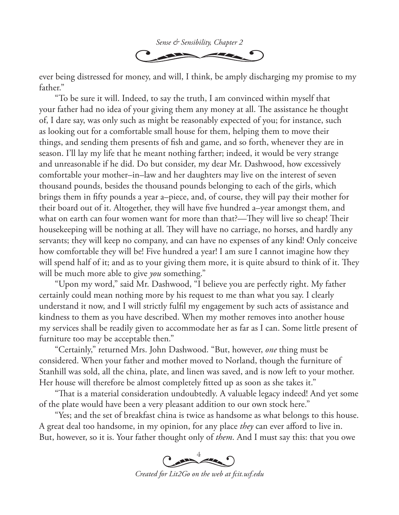

ever being distressed for money, and will, I think, be amply discharging my promise to my father."

"To be sure it will. Indeed, to say the truth, I am convinced within myself that your father had no idea of your giving them any money at all. The assistance he thought of, I dare say, was only such as might be reasonably expected of you; for instance, such as looking out for a comfortable small house for them, helping them to move their things, and sending them presents of fish and game, and so forth, whenever they are in season. I'll lay my life that he meant nothing farther; indeed, it would be very strange and unreasonable if he did. Do but consider, my dear Mr. Dashwood, how excessively comfortable your mother–in–law and her daughters may live on the interest of seven thousand pounds, besides the thousand pounds belonging to each of the girls, which brings them in fifty pounds a year a–piece, and, of course, they will pay their mother for their board out of it. Altogether, they will have five hundred a–year amongst them, and what on earth can four women want for more than that?—They will live so cheap! Their housekeeping will be nothing at all. They will have no carriage, no horses, and hardly any servants; they will keep no company, and can have no expenses of any kind! Only conceive how comfortable they will be! Five hundred a year! I am sure I cannot imagine how they will spend half of it; and as to your giving them more, it is quite absurd to think of it. They will be much more able to give *you* something."

"Upon my word," said Mr. Dashwood, "I believe you are perfectly right. My father certainly could mean nothing more by his request to me than what you say. I clearly understand it now, and I will strictly fulfil my engagement by such acts of assistance and kindness to them as you have described. When my mother removes into another house my services shall be readily given to accommodate her as far as I can. Some little present of furniture too may be acceptable then."

"Certainly," returned Mrs. John Dashwood. "But, however, *one* thing must be considered. When your father and mother moved to Norland, though the furniture of Stanhill was sold, all the china, plate, and linen was saved, and is now left to your mother. Her house will therefore be almost completely fitted up as soon as she takes it."

"That is a material consideration undoubtedly. A valuable legacy indeed! And yet some of the plate would have been a very pleasant addition to our own stock here."

"Yes; and the set of breakfast china is twice as handsome as what belongs to this house. A great deal too handsome, in my opinion, for any place *they* can ever afford to live in. But, however, so it is. Your father thought only of *them*. And I must say this: that you owe

Comment

*Created for Lit2Go on the web at fcit.usf.edu*